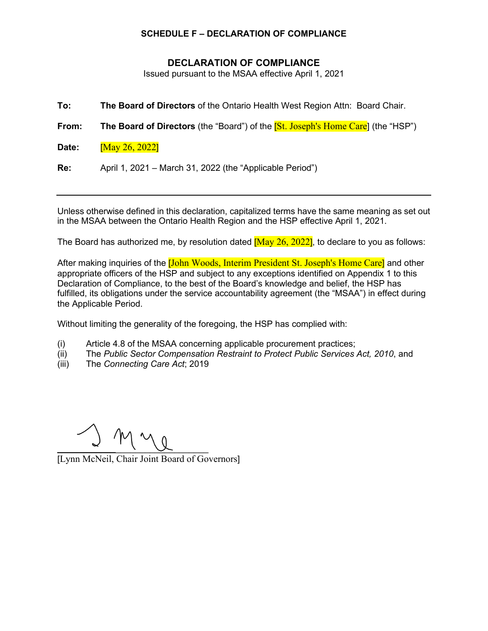## **SCHEDULE F – DECLARATION OF COMPLIANCE**

## **DECLARATION OF COMPLIANCE**

Issued pursuant to the MSAA effective April 1, 2021

**To: The Board of Directors** of the Ontario Health West Region Attn: Board Chair.

**From:** The Board of Directors (the "Board") of the [St. Joseph's Home Care] (the "HSP")

**Date:** [May 26, 2022]

**Re:** April 1, 2021 – March 31, 2022 (the "Applicable Period")

Unless otherwise defined in this declaration, capitalized terms have the same meaning as set out in the MSAA between the Ontario Health Region and the HSP effective April 1, 2021.

The Board has authorized me, by resolution dated  $\overline{[May\ 26, 2022]}$ , to declare to you as follows:

After making inquiries of the **[John Woods, Interim President St. Joseph's Home Care]** and other appropriate officers of the HSP and subject to any exceptions identified on Appendix 1 to this Declaration of Compliance, to the best of the Board's knowledge and belief, the HSP has fulfilled, its obligations under the service accountability agreement (the "MSAA") in effect during the Applicable Period.

Without limiting the generality of the foregoing, the HSP has complied with:

- (i) Article 4.8 of the MSAA concerning applicable procurement practices;
- (ii) The *Public Sector Compensation Restraint to Protect Public Services Act, 2010*, and
- (iii) The *Connecting Care Act*; 2019

 $\overline{\phantom{a}}$ 

[Lynn McNeil, Chair Joint Board of Governors]